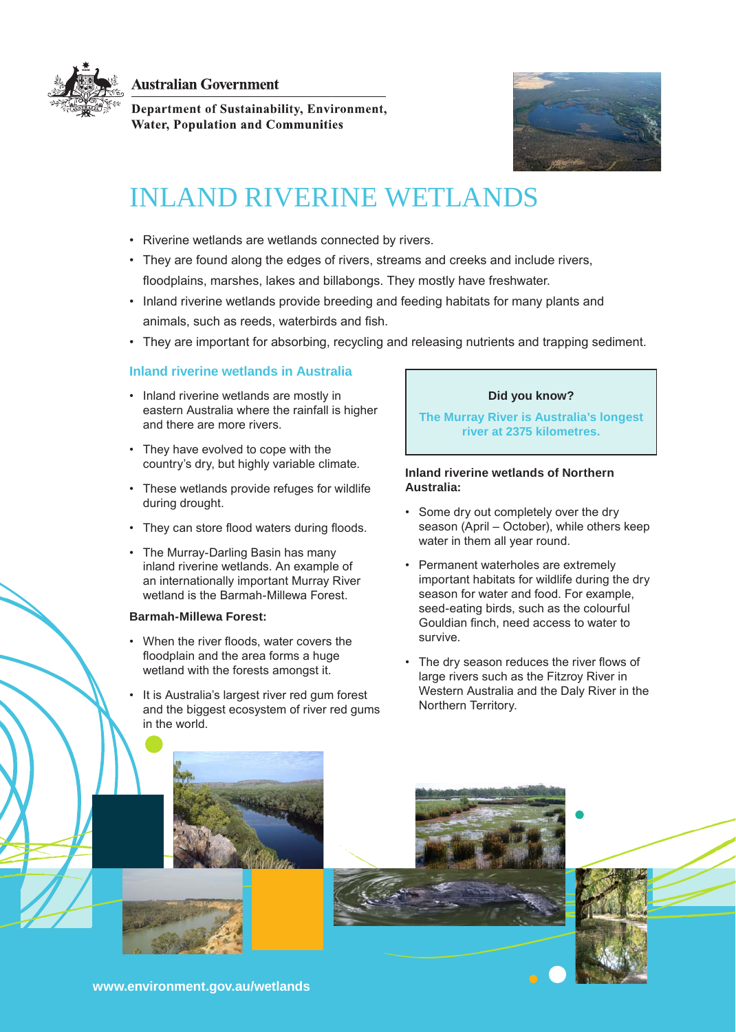**Australian Government** 

Department of Sustainability, Environment,

**Water, Population and Communities** 



# INLAND RIVERINE WETLANDS

- Riverine wetlands are wetlands connected by rivers.
- They are found along the edges of rivers, streams and creeks and include rivers, floodplains, marshes, lakes and billabongs. They mostly have freshwater.
- • Inland riverine wetlands provide breeding and feeding habitats for many plants and animals, such as reeds, waterbirds and fish.
- • They are important for absorbing, recycling and releasing nutrients and trapping sediment.

# **Inland riverine wetlands in Australia**

- • Inland riverine wetlands are mostly in eastern Australia where the rainfall is higher and there are more rivers.
- • They have evolved to cope with the country's dry, but highly variable climate.
- • These wetlands provide refuges for wildlife during drought.
- They can store flood waters during floods.
- The Murray-Darling Basin has many inland riverine wetlands. An example of an internationally important Murray River wetland is the Barmah-Millewa Forest.

# **Barmah-Millewa Forest:**

- • When the river floods, water covers the floodplain and the area forms a huge wetland with the forests amongst it.
- It is Australia's largest river red gum forest and the biggest ecosystem of river red gums in the world.

# **Did you know?**

**The Murray River is Australia's longest river at 2375 kilometres.**

## **Inland riverine wetlands of Northern Australia:**

- Some dry out completely over the dry season (April – October), while others keep water in them all year round.
- • Permanent waterholes are extremely important habitats for wildlife during the dry season for water and food. For example, seed-eating birds, such as the colourful Gouldian finch, need access to water to survive.
- The dry season reduces the river flows of large rivers such as the Fitzroy River in Western Australia and the Daly River in the Northern Territory.



**<www.environment.gov.au/wetlands>**